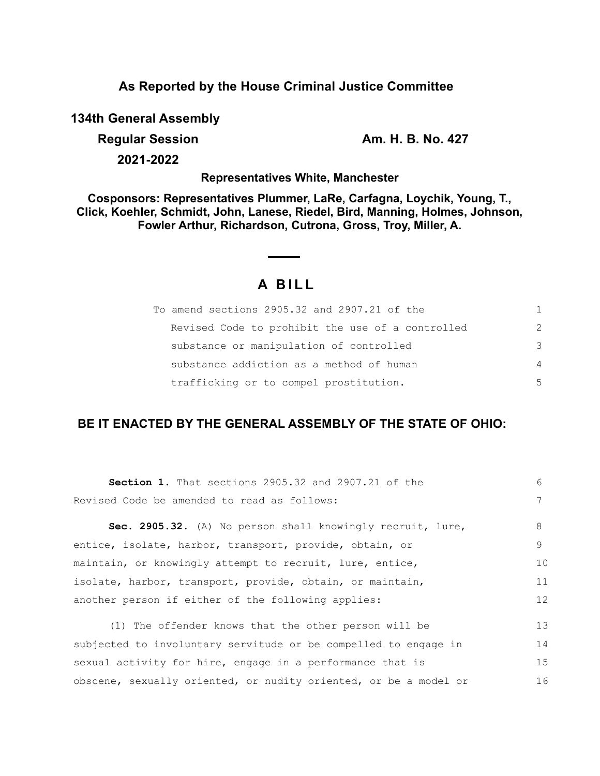## **As Reported by the House Criminal Justice Committee**

**134th General Assembly**

**Regular Session Am. H. B. No. 427** 

16

**2021-2022**

### **Representatives White, Manchester**

**Cosponsors: Representatives Plummer, LaRe, Carfagna, Loychik, Young, T., Click, Koehler, Schmidt, John, Lanese, Riedel, Bird, Manning, Holmes, Johnson, Fowler Arthur, Richardson, Cutrona, Gross, Troy, Miller, A.**

# **A B I L L**

| To amend sections 2905.32 and 2907.21 of the     | 1.             |
|--------------------------------------------------|----------------|
| Revised Code to prohibit the use of a controlled | $\mathcal{L}$  |
| substance or manipulation of controlled          | 3              |
| substance addiction as a method of human         | $\overline{4}$ |
| trafficking or to compel prostitution.           | .5             |

# **BE IT ENACTED BY THE GENERAL ASSEMBLY OF THE STATE OF OHIO:**

| <b>Section 1.</b> That sections 2905.32 and 2907.21 of the      | 6  |
|-----------------------------------------------------------------|----|
| Revised Code be amended to read as follows:                     | 7  |
| Sec. 2905.32. (A) No person shall knowingly recruit, lure,      | 8  |
| entice, isolate, harbor, transport, provide, obtain, or         | 9  |
| maintain, or knowingly attempt to recruit, lure, entice,        |    |
| isolate, harbor, transport, provide, obtain, or maintain,       | 11 |
| another person if either of the following applies:              |    |
| (1) The offender knows that the other person will be            | 13 |
| subjected to involuntary servitude or be compelled to engage in | 14 |
| sexual activity for hire, engage in a performance that is       | 15 |

obscene, sexually oriented, or nudity oriented, or be a model or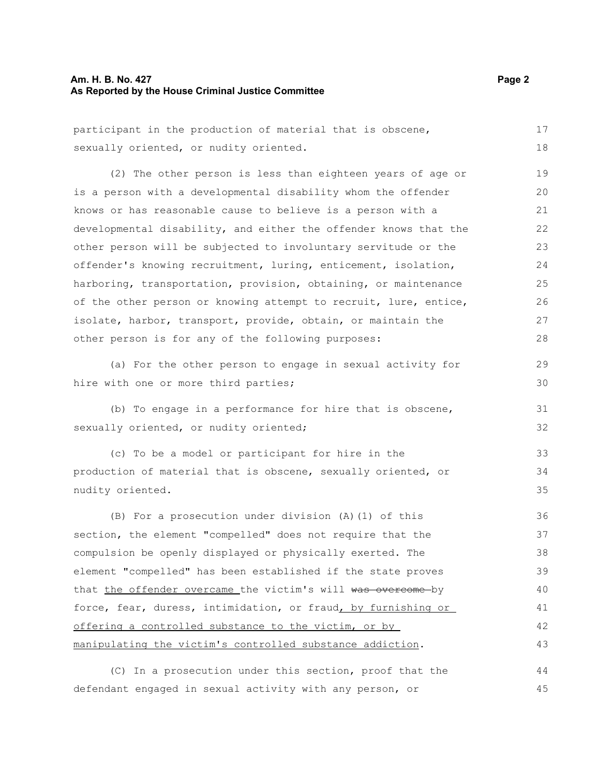#### **Am. H. B. No. 427 Page 2 As Reported by the House Criminal Justice Committee**

| participant in the production of material that is obscene,       | 17 |
|------------------------------------------------------------------|----|
| sexually oriented, or nudity oriented.                           | 18 |
| (2) The other person is less than eighteen years of age or       | 19 |
| is a person with a developmental disability whom the offender    | 20 |
| knows or has reasonable cause to believe is a person with a      | 21 |
| developmental disability, and either the offender knows that the | 22 |
| other person will be subjected to involuntary servitude or the   | 23 |
| offender's knowing recruitment, luring, enticement, isolation,   | 24 |
| harboring, transportation, provision, obtaining, or maintenance  | 25 |
| of the other person or knowing attempt to recruit, lure, entice, | 26 |
| isolate, harbor, transport, provide, obtain, or maintain the     | 27 |
| other person is for any of the following purposes:               | 28 |
| (a) For the other person to engage in sexual activity for        | 29 |
| hire with one or more third parties;                             | 30 |
| (b) To engage in a performance for hire that is obscene,         | 31 |
| sexually oriented, or nudity oriented;                           | 32 |
| (c) To be a model or participant for hire in the                 | 33 |
| production of material that is obscene, sexually oriented, or    | 34 |
| nudity oriented.                                                 | 35 |
| (B) For a prosecution under division (A) (1) of this             | 36 |
| section, the element "compelled" does not require that the       | 37 |
| compulsion be openly displayed or physically exerted. The        | 38 |
| element "compelled" has been established if the state proves     | 39 |
| that the offender overcame the victim's will was overcome by     | 40 |
| force, fear, duress, intimidation, or fraud, by furnishing or    | 41 |
| offering a controlled substance to the victim, or by             | 42 |
| manipulating the victim's controlled substance addiction.        | 43 |

(C) In a prosecution under this section, proof that the defendant engaged in sexual activity with any person, or 44 45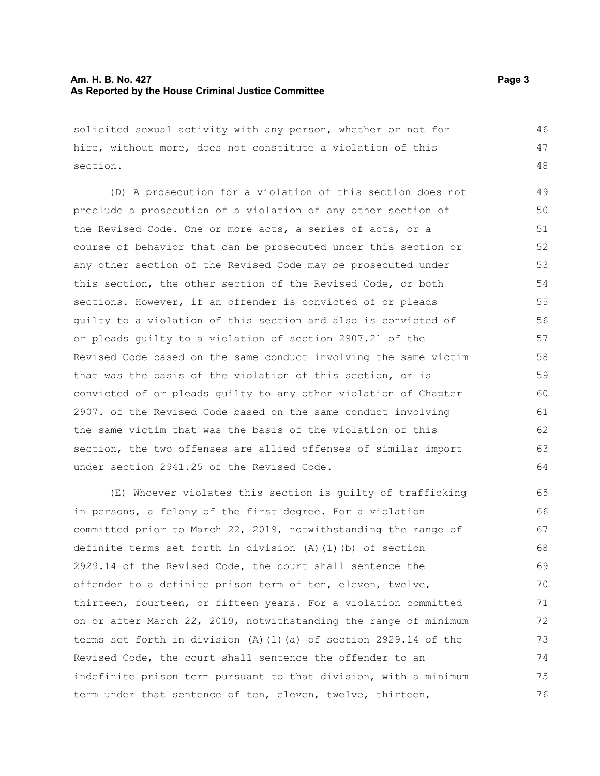solicited sexual activity with any person, whether or not for hire, without more, does not constitute a violation of this section. 46 47 48

(D) A prosecution for a violation of this section does not preclude a prosecution of a violation of any other section of the Revised Code. One or more acts, a series of acts, or a course of behavior that can be prosecuted under this section or any other section of the Revised Code may be prosecuted under this section, the other section of the Revised Code, or both sections. However, if an offender is convicted of or pleads guilty to a violation of this section and also is convicted of or pleads guilty to a violation of section 2907.21 of the Revised Code based on the same conduct involving the same victim that was the basis of the violation of this section, or is convicted of or pleads guilty to any other violation of Chapter 2907. of the Revised Code based on the same conduct involving the same victim that was the basis of the violation of this section, the two offenses are allied offenses of similar import under section 2941.25 of the Revised Code. 49 50 51 52 53 54 55 56 57 58 59 60 61 62 63 64

(E) Whoever violates this section is guilty of trafficking in persons, a felony of the first degree. For a violation committed prior to March 22, 2019, notwithstanding the range of definite terms set forth in division (A)(1)(b) of section 2929.14 of the Revised Code, the court shall sentence the offender to a definite prison term of ten, eleven, twelve, thirteen, fourteen, or fifteen years. For a violation committed on or after March 22, 2019, notwithstanding the range of minimum terms set forth in division (A)(1)(a) of section 2929.14 of the Revised Code, the court shall sentence the offender to an indefinite prison term pursuant to that division, with a minimum term under that sentence of ten, eleven, twelve, thirteen, 65 66 67 68 69 70 71 72 73 74 75 76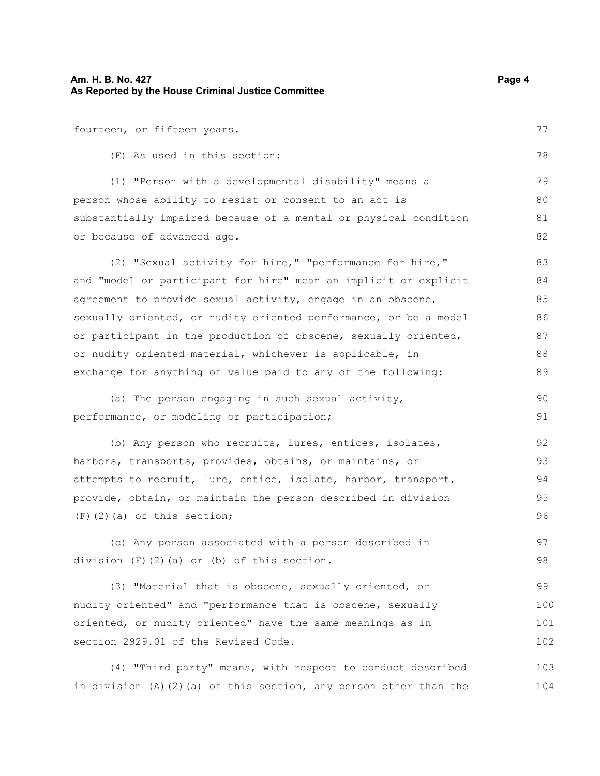or because of advanced age.

fourteen, or fifteen years. (F) As used in this section: (1) "Person with a developmental disability" means a person whose ability to resist or consent to an act is

substantially impaired because of a mental or physical condition

(2) "Sexual activity for hire," "performance for hire," and "model or participant for hire" mean an implicit or explicit agreement to provide sexual activity, engage in an obscene, sexually oriented, or nudity oriented performance, or be a model or participant in the production of obscene, sexually oriented, or nudity oriented material, whichever is applicable, in exchange for anything of value paid to any of the following: 83 84 85 86 87 88 89

(a) The person engaging in such sexual activity, performance, or modeling or participation; 90 91

(b) Any person who recruits, lures, entices, isolates, harbors, transports, provides, obtains, or maintains, or attempts to recruit, lure, entice, isolate, harbor, transport, provide, obtain, or maintain the person described in division (F)(2)(a) of this section; 92 93 94 95 96

(c) Any person associated with a person described in division (F)(2)(a) or (b) of this section. 97 98

(3) "Material that is obscene, sexually oriented, or nudity oriented" and "performance that is obscene, sexually oriented, or nudity oriented" have the same meanings as in section 2929.01 of the Revised Code. 99 100 101 102

(4) "Third party" means, with respect to conduct described in division  $(A)$   $(2)$   $(a)$  of this section, any person other than the 103 104

77

78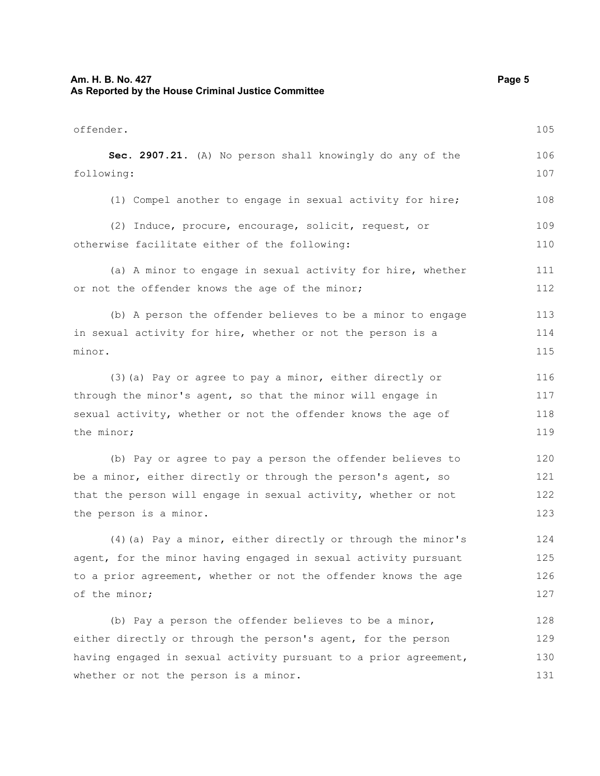#### **Am. H. B. No. 427** Page 5 **As Reported by the House Criminal Justice Committee**

offender. **Sec. 2907.21.** (A) No person shall knowingly do any of the following: (1) Compel another to engage in sexual activity for hire;

(2) Induce, procure, encourage, solicit, request, or otherwise facilitate either of the following: 109 110

(a) A minor to engage in sexual activity for hire, whether or not the offender knows the age of the minor; 111 112

(b) A person the offender believes to be a minor to engage in sexual activity for hire, whether or not the person is a minor. 113 114 115

(3)(a) Pay or agree to pay a minor, either directly or through the minor's agent, so that the minor will engage in sexual activity, whether or not the offender knows the age of the minor; 116 117 118 119

(b) Pay or agree to pay a person the offender believes to be a minor, either directly or through the person's agent, so that the person will engage in sexual activity, whether or not the person is a minor. 120 121 122 123

(4)(a) Pay a minor, either directly or through the minor's agent, for the minor having engaged in sexual activity pursuant to a prior agreement, whether or not the offender knows the age of the minor; 124 125 126 127

(b) Pay a person the offender believes to be a minor, either directly or through the person's agent, for the person having engaged in sexual activity pursuant to a prior agreement, whether or not the person is a minor. 128 129 130 131

105

106 107

108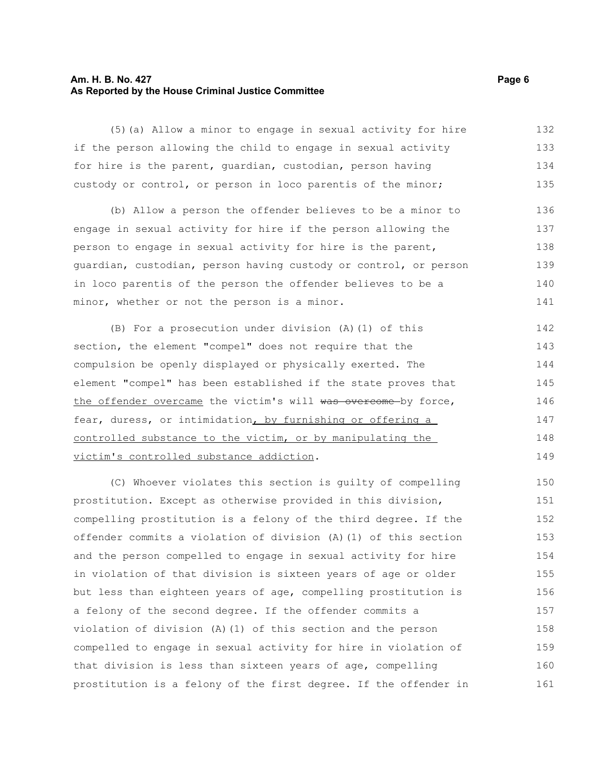#### **Am. H. B. No. 427** Page 6 **As Reported by the House Criminal Justice Committee**

(5)(a) Allow a minor to engage in sexual activity for hire if the person allowing the child to engage in sexual activity for hire is the parent, guardian, custodian, person having custody or control, or person in loco parentis of the minor; 132 133 134 135

(b) Allow a person the offender believes to be a minor to engage in sexual activity for hire if the person allowing the person to engage in sexual activity for hire is the parent, guardian, custodian, person having custody or control, or person in loco parentis of the person the offender believes to be a minor, whether or not the person is a minor. 136 137 138 139 140 141

(B) For a prosecution under division (A)(1) of this section, the element "compel" does not require that the compulsion be openly displayed or physically exerted. The element "compel" has been established if the state proves that the offender overcame the victim's will was overcome by force, fear, duress, or intimidation, by furnishing or offering a controlled substance to the victim, or by manipulating the victim's controlled substance addiction. 142 143 144 145 146 147 148 149

(C) Whoever violates this section is guilty of compelling prostitution. Except as otherwise provided in this division, compelling prostitution is a felony of the third degree. If the offender commits a violation of division (A)(1) of this section and the person compelled to engage in sexual activity for hire in violation of that division is sixteen years of age or older but less than eighteen years of age, compelling prostitution is a felony of the second degree. If the offender commits a violation of division (A)(1) of this section and the person compelled to engage in sexual activity for hire in violation of that division is less than sixteen years of age, compelling prostitution is a felony of the first degree. If the offender in 150 151 152 153 154 155 156 157 158 159 160 161